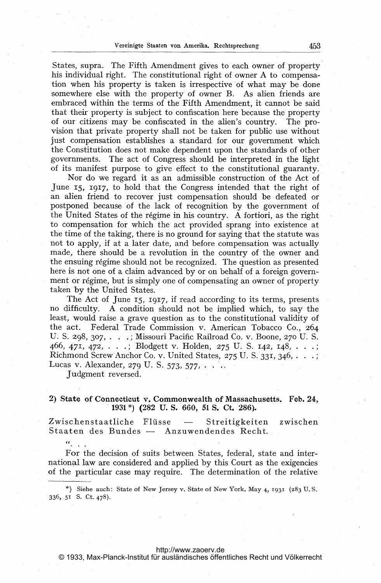States, supra. The Fifth Amendment gives to each owner of property his individual right. The constitutional right of owner A to compensation when his property is taken is irrespective of what may be done somewhere else with the property of owner B. As alien friends are embraced within the terms of the Fifth Amendment, it cannot be said that their property is subject to confiscation here because the property of our citizens may be confiscated in the alien's country. The provision that private property shall not be taken for public use without just compensation establishes a standard for our government which the Constitution does not make dependent upon the standards of other governments. The act of Congress should be interpreted in the light of its manifest purpose to give effect to the constitutional guaranty.

Nor do we regard it as an admissible construction of the Act of June 15, 1917, to hold that the Congress intended that the right of an alien friend to recover just compensation should be defeated or postponed because of the lack of recognition by the government of the United States of the régime in his country. A fortiori, as the right to compensation for which the act provided sprang into existence at the time of the taking, there is no ground for saying that the statute was not to apply, if at a later date, and before compensation was actually made, there should be a revolution in the country of the owner and the ensuing régime should not be recognized. The question as presented here is not one of a claim advanced by or on behalf of a foreign government or régime, but is simply one of compensating an owner of property taken by the United States.

The Act of June 15, 1917, if read according to its terms, presents no difficulty. A condition should not be implied which, to say the least, would raise a grave question as to the constitutional validity of the act. Federal Trade Commission v. American Tobacco Co., 264 U. S. 298, 307, . . .; Missouri Pacific Railroad Co. v. Boone, 270 U. S. 466, 471, 472, . . .; Blodgett v. Holden, 275 U. S. 142, 148, . . .; Richmond Screw Anchor Co. v. United States,  $275$  U. S. 331, 346, ... Lucas v. Alexander, 279 U. S. 573, 577, ...

Judgment reversed.

 $\alpha_{\rm max}$ 

## 2) State of Connecticut v. Commonwealth of Massachusetts. Feb. 24, 11931 \*) (282 U. S. 660, <sup>51</sup> S. Ct. 286).

Zwischenstaatliche Flüsse - Streitigkeiten zwischen Staaten des Bundes — Anzuwendendes Recht.

For the decision of suits between States, federal, state and international law are considered and applied by this Court as the exigencies of the particular case may require. The determination of the relative

\*) Siehe auch: State of New Jersey v. State of New York. May 4, 1931 (283 U.S. 336, 51 S. Ct. 478).

## <http://www.zaoerv.de>

© 1933, Max-Planck-Institut für ausländisches öffentliches Recht und Völkerrecht